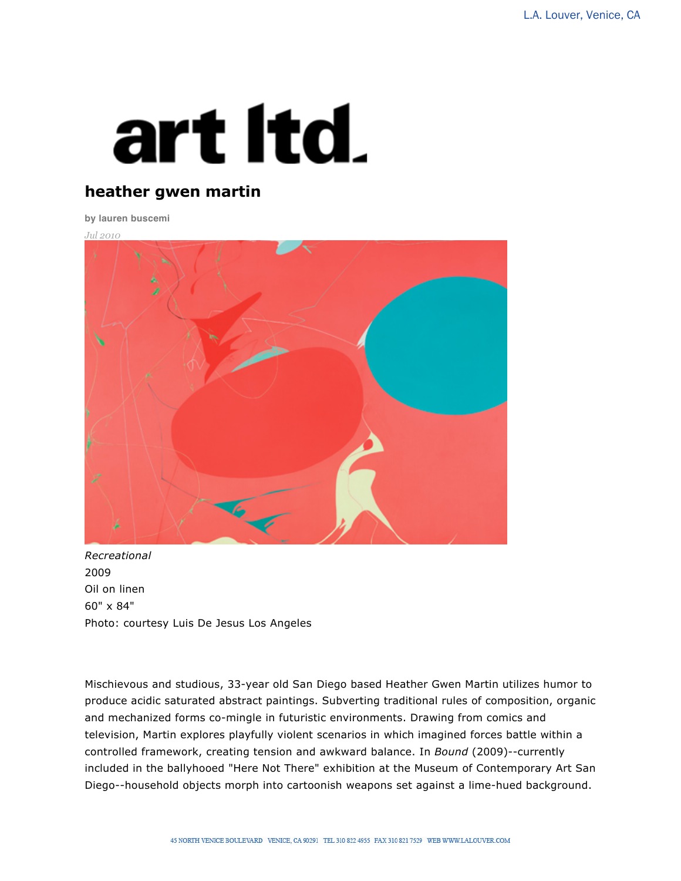## art Itd.

## **heather gwen martin**

**by lauren buscemi**

*Jul 2010*



*Recreational* 2009 Oil on linen 60" x 84" Photo: courtesy Luis De Jesus Los Angeles

Mischievous and studious, 33-year old San Diego based Heather Gwen Martin utilizes humor to produce acidic saturated abstract paintings. Subverting traditional rules of composition, organic and mechanized forms co-mingle in futuristic environments. Drawing from comics and television, Martin explores playfully violent scenarios in which imagined forces battle within a controlled framework, creating tension and awkward balance. In *Bound* (2009)--currently included in the ballyhooed "Here Not There" exhibition at the Museum of Contemporary Art San Diego--household objects morph into cartoonish weapons set against a lime-hued background.